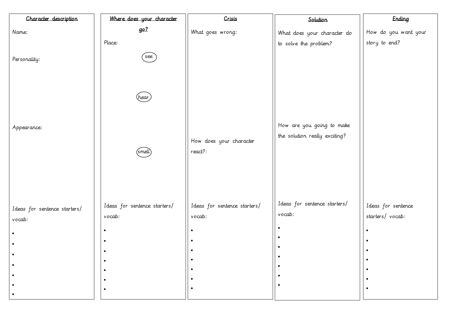| Character description        | Where does your character    | Crisis                       | Solution                                                   |
|------------------------------|------------------------------|------------------------------|------------------------------------------------------------|
| Name:                        | <u>go?</u>                   | What goes wrong:             | What does your character do                                |
|                              | Place:                       |                              | to solve the problem?                                      |
| Personality:                 | see                          |                              |                                                            |
| Appearance:                  | hear                         | How does your character      | How are you going to make<br>the solution really exciting? |
|                              | (smell                       | react?:                      |                                                            |
| Ideas for sentence starters/ | Ideas for sentence starters/ | Ideas for sentence starters/ | Ideas for sentence starters/                               |
| vocab:                       | vocab:                       | vocab:                       | vocab:                                                     |
|                              | $\bullet$                    |                              |                                                            |
|                              | $\bullet$                    |                              |                                                            |
|                              | $\bullet$                    |                              |                                                            |
|                              |                              |                              |                                                            |
|                              |                              |                              |                                                            |
|                              | $\bullet$                    |                              |                                                            |

|      | Ending               |
|------|----------------------|
| r do | How do you want your |
|      | story to end?        |
|      |                      |
|      |                      |
|      |                      |
|      |                      |
|      |                      |
|      |                      |
|      |                      |
| ake  |                      |
| g?   |                      |
|      |                      |
|      |                      |
|      |                      |
|      |                      |
|      |                      |
| ·s/  | Ideas for sentence   |
|      | starters/ vocab:     |
|      |                      |
|      |                      |
|      |                      |
|      |                      |
|      |                      |
|      |                      |
|      |                      |
|      |                      |